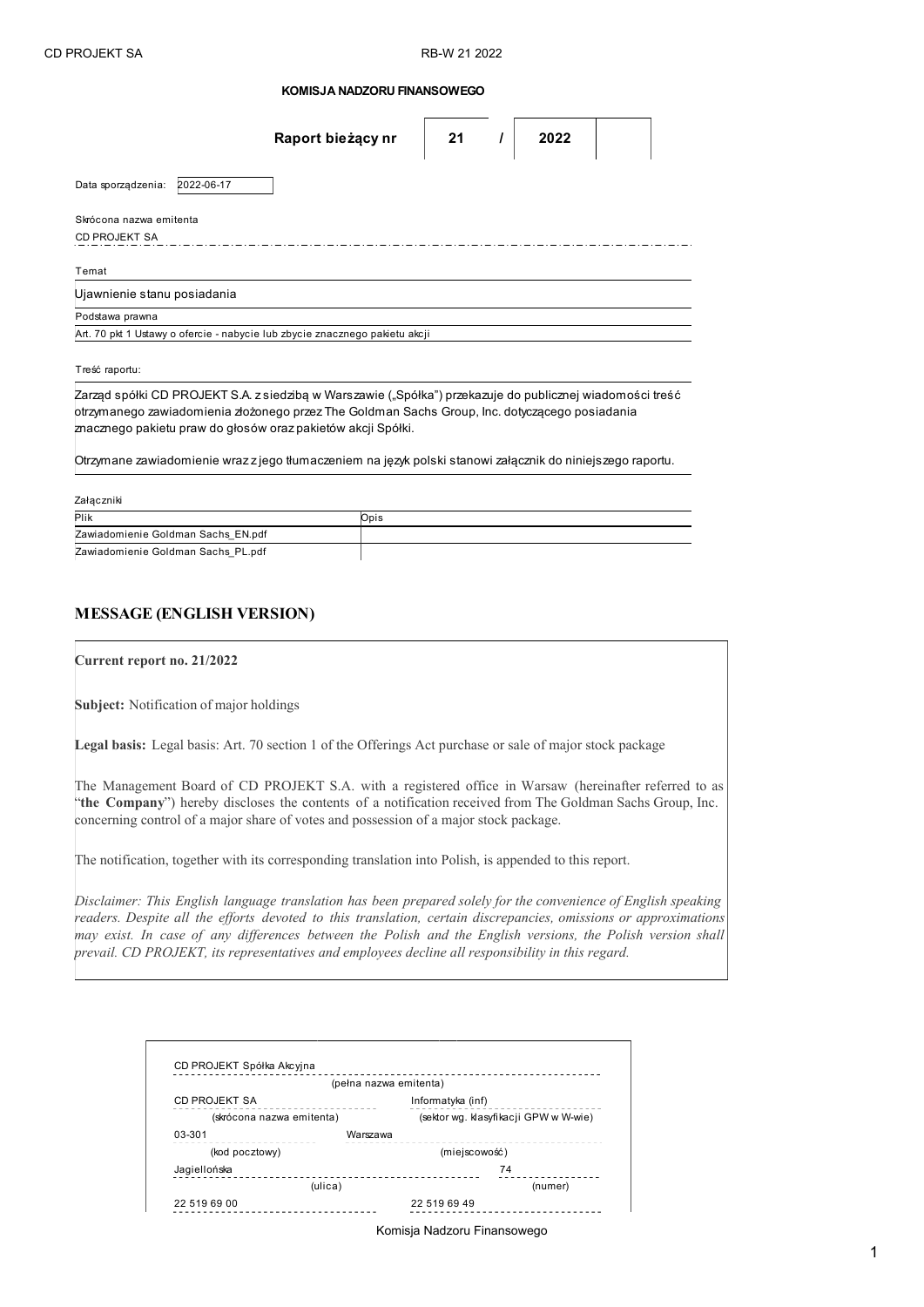| KOMISJA NADZORU FINANSOWEGO |
|-----------------------------|
|-----------------------------|

|                             |            | Raport bieżący nr                                                                                                                                                                                                                                                           | 21 | 2022 |  |
|-----------------------------|------------|-----------------------------------------------------------------------------------------------------------------------------------------------------------------------------------------------------------------------------------------------------------------------------|----|------|--|
| Data sporządzenia:          | 2022-06-17 |                                                                                                                                                                                                                                                                             |    |      |  |
| Skrócona nazwa emitenta     |            |                                                                                                                                                                                                                                                                             |    |      |  |
| <b>CD PROJEKT SA</b>        |            |                                                                                                                                                                                                                                                                             |    |      |  |
| Temat                       |            |                                                                                                                                                                                                                                                                             |    |      |  |
| Ujawnienie stanu posiadania |            |                                                                                                                                                                                                                                                                             |    |      |  |
| Podstawa prawna             |            |                                                                                                                                                                                                                                                                             |    |      |  |
|                             |            | Art. 70 pkt 1 Ustawy o ofercie - nabycie lub zbycie znacznego pakietu akcji                                                                                                                                                                                                 |    |      |  |
| Treść raportu:              |            |                                                                                                                                                                                                                                                                             |    |      |  |
|                             |            | Zarząd spółki CD PROJEKT S.A. z siedzibą w Warszawie ("Spółka") przekazuje do publicznej wiadomości treść<br>otrzymanego zawiadomienia złożonego przez The Goldman Sachs Group, Inc. dotyczącego posiadania<br>znacznego pakietu praw do głosów oraz pakietów akcji Spółki. |    |      |  |
|                             |            | Otrzymane zawiadomienie wraz z jego tłumaczeniem na język polski stanowi załącznik do niniejszego raportu.                                                                                                                                                                  |    |      |  |
| Załaczniki                  |            |                                                                                                                                                                                                                                                                             |    |      |  |

| Plik                               | Opis |
|------------------------------------|------|
| Zawiadomienie Goldman Sachs EN.pdf |      |
| Zawiadomienie Goldman Sachs PL.pdf |      |

## **MESSAGE (ENGLISH VERSION)**

**Current report no. 21/2022**

**Subject:** Notification of major holdings

**Legal basis:** Legal basis: Art. 70 section 1 of the Offerings Act purchase or sale of major stock package

The Management Board of CD PROJEKT S.A. with a registered office in Warsaw (hereinafter referred to as "**the Company**") hereby discloses the contents of a notification received from The Goldman Sachs Group, Inc. concerning control of a major share of votes and possession of a major stock package.

The notification, together with its corresponding translation into Polish, is appended to this report.

*Disclaimer: This English language translation has been prepared solely for the convenience of English speaking readers. Despite all the efforts devoted to this translation, certain discrepancies, omissions or approximations may exist. In case of any differences between the Polish and the English versions, the Polish version shall prevail. CD PROJEKT, its representatives and employees decline all responsibility in this regard.*

|                           | (pełna nazwa emitenta) |                                       |  |  |
|---------------------------|------------------------|---------------------------------------|--|--|
| CD PROJEKT SA             |                        | Informatyka (inf)                     |  |  |
| (skrócona nazwa emitenta) |                        | (sektor wg. klasyfikacji GPW w W-wie) |  |  |
| 03-301                    | Warszawa               |                                       |  |  |
| (kod pocztowy)            |                        | (miejscowość)                         |  |  |
| Jagiellońska<br>(ulica)   |                        | 74                                    |  |  |
|                           |                        | (numer)                               |  |  |
| 22 519 69 00              |                        | 22 519 69 49                          |  |  |